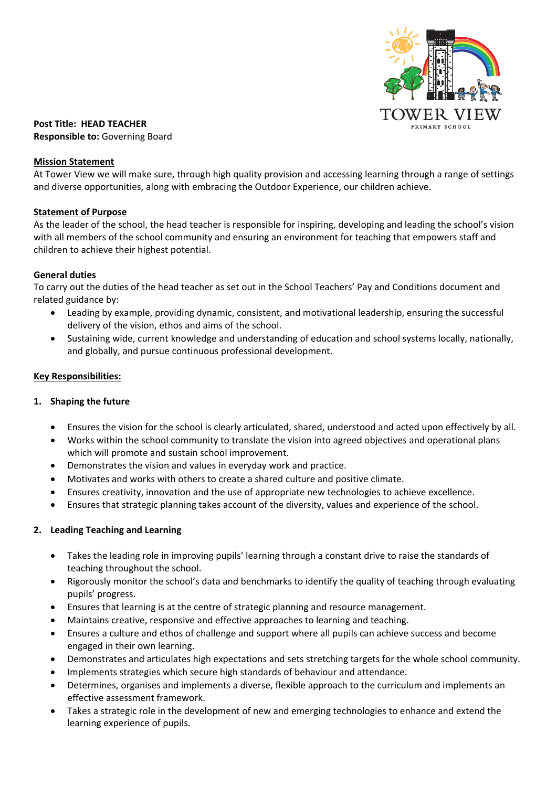

**Post Title: HEAD TEACHER Responsible to:** Governing Board

#### **Mission Statement**

At Tower View we will make sure, through high quality provision and accessing learning through a range of settings and diverse opportunities, along with embracing the Outdoor Experience, our children achieve.

### **Statement of Purpose**

As the leader of the school, the head teacher is responsible for inspiring, developing and leading the school's vision with all members of the school community and ensuring an environment for teaching that empowers staff and children to achieve their highest potential.

#### **General duties**

To carry out the duties of the head teacher as set out in the School Teachers' Pay and Conditions document and related guidance by:

- Leading by example, providing dynamic, consistent, and motivational leadership, ensuring the successful delivery of the vision, ethos and aims of the school.
- Sustaining wide, current knowledge and understanding of education and school systems locally, nationally, and globally, and pursue continuous professional development.

#### **Key Responsibilities:**

### **1. Shaping the future**

- Ensures the vision for the school is clearly articulated, shared, understood and acted upon effectively by all.
- Works within the school community to translate the vision into agreed objectives and operational plans which will promote and sustain school improvement.
- Demonstrates the vision and values in everyday work and practice.
- Motivates and works with others to create a shared culture and positive climate.
- Ensures creativity, innovation and the use of appropriate new technologies to achieve excellence.
- Ensures that strategic planning takes account of the diversity, values and experience of the school.

### **2. Leading Teaching and Learning**

- Takes the leading role in improving pupils' learning through a constant drive to raise the standards of teaching throughout the school.
- Rigorously monitor the school's data and benchmarks to identify the quality of teaching through evaluating pupils' progress.
- Ensures that learning is at the centre of strategic planning and resource management.
- Maintains creative, responsive and effective approaches to learning and teaching.
- Ensures a culture and ethos of challenge and support where all pupils can achieve success and become engaged in their own learning.
- Demonstrates and articulates high expectations and sets stretching targets for the whole school community.
- Implements strategies which secure high standards of behaviour and attendance.
- Determines, organises and implements a diverse, flexible approach to the curriculum and implements an effective assessment framework.
- Takes a strategic role in the development of new and emerging technologies to enhance and extend the learning experience of pupils.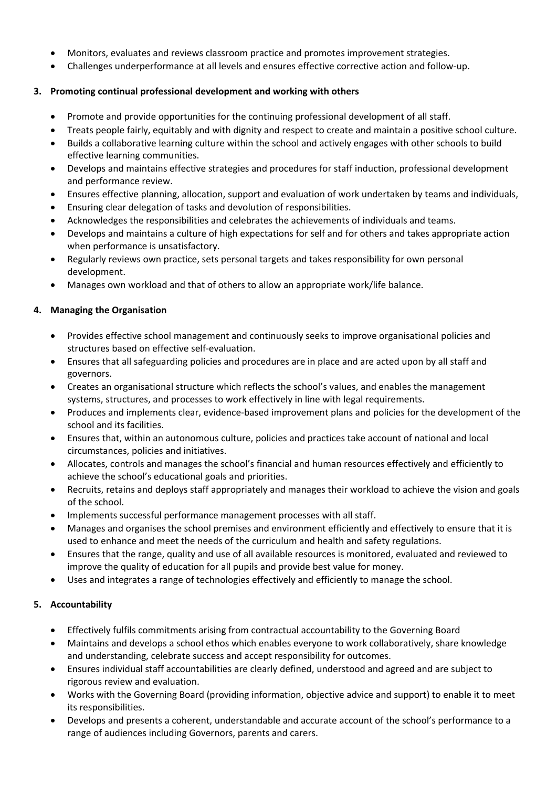- Monitors, evaluates and reviews classroom practice and promotes improvement strategies.
- Challenges underperformance at all levels and ensures effective corrective action and follow-up.

## **3. Promoting continual professional development and working with others**

- Promote and provide opportunities for the continuing professional development of all staff.
- Treats people fairly, equitably and with dignity and respect to create and maintain a positive school culture.
- Builds a collaborative learning culture within the school and actively engages with other schools to build effective learning communities.
- Develops and maintains effective strategies and procedures for staff induction, professional development and performance review.
- Ensures effective planning, allocation, support and evaluation of work undertaken by teams and individuals,
- Ensuring clear delegation of tasks and devolution of responsibilities.
- Acknowledges the responsibilities and celebrates the achievements of individuals and teams.
- Develops and maintains a culture of high expectations for self and for others and takes appropriate action when performance is unsatisfactory.
- Regularly reviews own practice, sets personal targets and takes responsibility for own personal development.
- Manages own workload and that of others to allow an appropriate work/life balance.

## **4. Managing the Organisation**

- Provides effective school management and continuously seeks to improve organisational policies and structures based on effective self-evaluation.
- Ensures that all safeguarding policies and procedures are in place and are acted upon by all staff and governors.
- Creates an organisational structure which reflects the school's values, and enables the management systems, structures, and processes to work effectively in line with legal requirements.
- Produces and implements clear, evidence-based improvement plans and policies for the development of the school and its facilities.
- Ensures that, within an autonomous culture, policies and practices take account of national and local circumstances, policies and initiatives.
- Allocates, controls and manages the school's financial and human resources effectively and efficiently to achieve the school's educational goals and priorities.
- Recruits, retains and deploys staff appropriately and manages their workload to achieve the vision and goals of the school.
- Implements successful performance management processes with all staff.
- Manages and organises the school premises and environment efficiently and effectively to ensure that it is used to enhance and meet the needs of the curriculum and health and safety regulations.
- Ensures that the range, quality and use of all available resources is monitored, evaluated and reviewed to improve the quality of education for all pupils and provide best value for money.
- Uses and integrates a range of technologies effectively and efficiently to manage the school.

## **5. Accountability**

- Effectively fulfils commitments arising from contractual accountability to the Governing Board
- Maintains and develops a school ethos which enables everyone to work collaboratively, share knowledge and understanding, celebrate success and accept responsibility for outcomes.
- Ensures individual staff accountabilities are clearly defined, understood and agreed and are subject to rigorous review and evaluation.
- Works with the Governing Board (providing information, objective advice and support) to enable it to meet its responsibilities.
- Develops and presents a coherent, understandable and accurate account of the school's performance to a range of audiences including Governors, parents and carers.